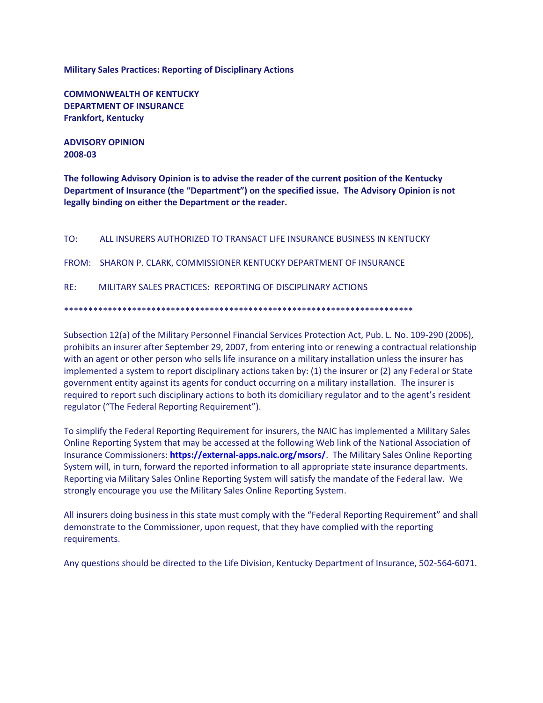**Military Sales Practices: Reporting of Disciplinary Actions**

**COMMONWEALTH OF KENTUCKY DEPARTMENT OF INSURANCE Frankfort, Kentucky**

**ADVISORY OPINION 2008-03**

**The following Advisory Opinion is to advise the reader of the current position of the Kentucky Department of Insurance (the "Department") on the specified issue. The Advisory Opinion is not legally binding on either the Department or the reader.**

| TO: | ALL INSURERS AUTHORIZED TO TRANSACT LIFE INSURANCE BUSINESS IN KENTUCKY |
|-----|-------------------------------------------------------------------------|
|     | FROM: SHARON P. CLARK, COMMISSIONER KENTUCKY DEPARTMENT OF INSURANCE    |
| RF: | MILITARY SALES PRACTICES: REPORTING OF DISCIPLINARY ACTIONS             |

\*\*\*\*\*\*\*\*\*\*\*\*\*\*\*\*\*\*\*\*\*\*\*\*\*\*\*\*\*\*\*\*\*\*\*\*\*\*\*\*\*\*\*\*\*\*\*\*\*\*\*\*\*\*\*\*\*\*\*\*\*\*\*\*\*\*\*\*\*\*\*\*

Subsection 12(a) of the Military Personnel Financial Services Protection Act, Pub. L. No. 109-290 (2006), prohibits an insurer after September 29, 2007, from entering into or renewing a contractual relationship with an agent or other person who sells life insurance on a military installation unless the insurer has implemented a system to report disciplinary actions taken by: (1) the insurer or (2) any Federal or State government entity against its agents for conduct occurring on a military installation. The insurer is required to report such disciplinary actions to both its domiciliary regulator and to the agent's resident regulator ("The Federal Reporting Requirement").

To simplify the Federal Reporting Requirement for insurers, the NAIC has implemented a Military Sales Online Reporting System that may be accessed at the following Web link of the National Association of Insurance Commissioners: **<https://external-apps.naic.org/msors/>**. The Military Sales Online Reporting System will, in turn, forward the reported information to all appropriate state insurance departments. Reporting via Military Sales Online Reporting System will satisfy the mandate of the Federal law. We strongly encourage you use the Military Sales Online Reporting System.

All insurers doing business in this state must comply with the "Federal Reporting Requirement" and shall demonstrate to the Commissioner, upon request, that they have complied with the reporting requirements.

Any questions should be directed to the Life Division, Kentucky Department of Insurance, 502-564-6071.